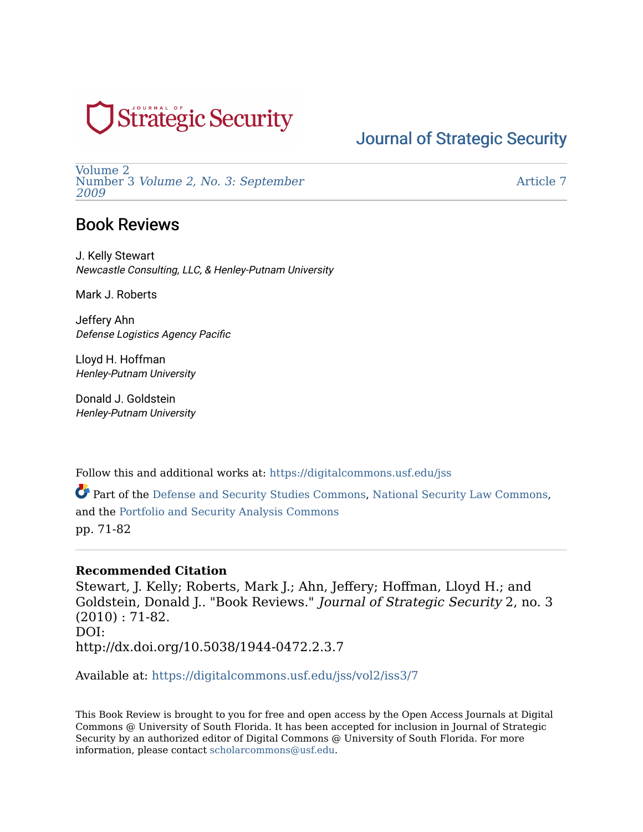# **Strategic Security**

## [Journal of Strategic Security](https://digitalcommons.usf.edu/jss)

[Volume 2](https://digitalcommons.usf.edu/jss/vol2)  Number 3 [Volume 2, No. 3: September](https://digitalcommons.usf.edu/jss/vol2/iss3)  [2009](https://digitalcommons.usf.edu/jss/vol2/iss3) 

[Article 7](https://digitalcommons.usf.edu/jss/vol2/iss3/7) 

### Book Reviews

J. Kelly Stewart Newcastle Consulting, LLC, & Henley-Putnam University

Mark J. Roberts

Jeffery Ahn Defense Logistics Agency Pacific

Lloyd H. Hoffman Henley-Putnam University

Donald J. Goldstein Henley-Putnam University

Follow this and additional works at: [https://digitalcommons.usf.edu/jss](https://digitalcommons.usf.edu/jss?utm_source=digitalcommons.usf.edu%2Fjss%2Fvol2%2Fiss3%2F7&utm_medium=PDF&utm_campaign=PDFCoverPages)

Part of the [Defense and Security Studies Commons,](http://network.bepress.com/hgg/discipline/394?utm_source=digitalcommons.usf.edu%2Fjss%2Fvol2%2Fiss3%2F7&utm_medium=PDF&utm_campaign=PDFCoverPages) [National Security Law Commons,](http://network.bepress.com/hgg/discipline/1114?utm_source=digitalcommons.usf.edu%2Fjss%2Fvol2%2Fiss3%2F7&utm_medium=PDF&utm_campaign=PDFCoverPages) and the [Portfolio and Security Analysis Commons](http://network.bepress.com/hgg/discipline/640?utm_source=digitalcommons.usf.edu%2Fjss%2Fvol2%2Fiss3%2F7&utm_medium=PDF&utm_campaign=PDFCoverPages)  pp. 71-82

### **Recommended Citation**

Stewart, J. Kelly; Roberts, Mark J.; Ahn, Jeffery; Hoffman, Lloyd H.; and Goldstein, Donald J.. "Book Reviews." Journal of Strategic Security 2, no. 3 (2010) : 71-82. DOI: http://dx.doi.org/10.5038/1944-0472.2.3.7

Available at: [https://digitalcommons.usf.edu/jss/vol2/iss3/7](https://digitalcommons.usf.edu/jss/vol2/iss3/7?utm_source=digitalcommons.usf.edu%2Fjss%2Fvol2%2Fiss3%2F7&utm_medium=PDF&utm_campaign=PDFCoverPages) 

This Book Review is brought to you for free and open access by the Open Access Journals at Digital Commons @ University of South Florida. It has been accepted for inclusion in Journal of Strategic Security by an authorized editor of Digital Commons @ University of South Florida. For more information, please contact [scholarcommons@usf.edu.](mailto:scholarcommons@usf.edu)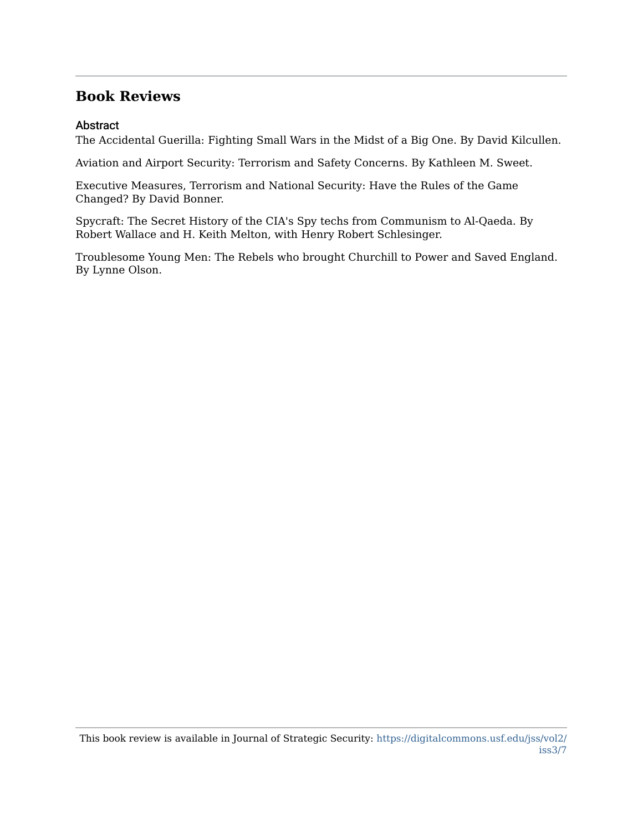### **Abstract**

The Accidental Guerilla: Fighting Small Wars in the Midst of a Big One. By David Kilcullen.

Aviation and Airport Security: Terrorism and Safety Concerns. By Kathleen M. Sweet.

Executive Measures, Terrorism and National Security: Have the Rules of the Game Changed? By David Bonner.

Spycraft: The Secret History of the CIA's Spy techs from Communism to Al-Qaeda. By Robert Wallace and H. Keith Melton, with Henry Robert Schlesinger.

Troublesome Young Men: The Rebels who brought Churchill to Power and Saved England. By Lynne Olson.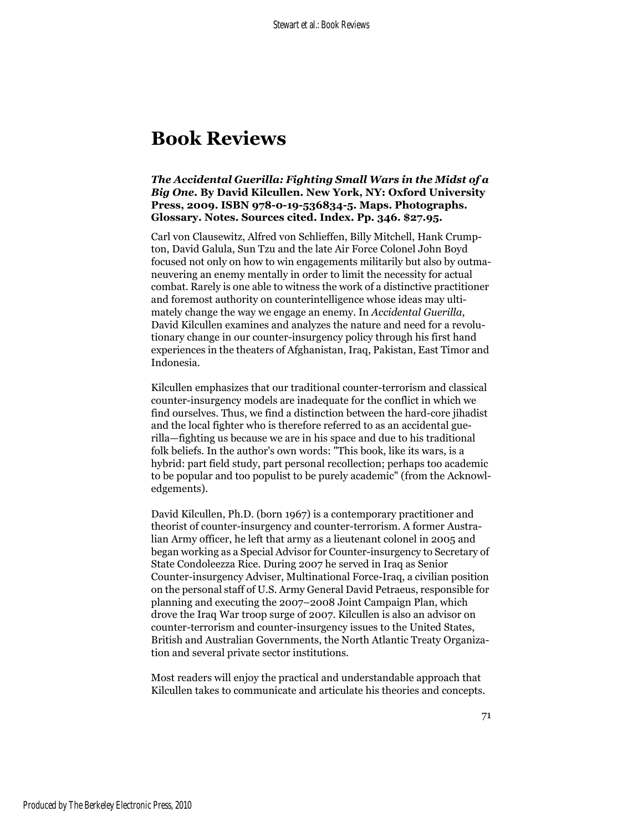### *The Accidental Guerilla: Fighting Small Wars in the Midst of a Big One***. By David Kilcullen. New York, NY: Oxford University Press, 2009. ISBN 978-0-19-536834-5. Maps. Photographs. Glossary. Notes. Sources cited. Index. Pp. 346. \$27.95.**

Carl von Clausewitz, Alfred von Schlieffen, Billy Mitchell, Hank Crumpton, David Galula, Sun Tzu and the late Air Force Colonel John Boyd focused not only on how to win engagements militarily but also by outmaneuvering an enemy mentally in order to limit the necessity for actual combat. Rarely is one able to witness the work of a distinctive practitioner and foremost authority on counterintelligence whose ideas may ultimately change the way we engage an enemy. In *Accidental Guerilla*, David Kilcullen examines and analyzes the nature and need for a revolutionary change in our counter-insurgency policy through his first hand experiences in the theaters of Afghanistan, Iraq, Pakistan, East Timor and Indonesia.

Kilcullen emphasizes that our traditional counter-terrorism and classical counter-insurgency models are inadequate for the conflict in which we find ourselves. Thus, we find a distinction between the hard-core jihadist and the local fighter who is therefore referred to as an accidental guerilla—fighting us because we are in his space and due to his traditional folk beliefs. In the author's own words: "This book, like its wars, is a hybrid: part field study, part personal recollection; perhaps too academic to be popular and too populist to be purely academic" (from the Acknowledgements).

David Kilcullen, Ph.D. (born 1967) is a contemporary practitioner and theorist of counter-insurgency and counter-terrorism. A former Australian Army officer, he left that army as a lieutenant colonel in 2005 and began working as a Special Advisor for Counter-insurgency to Secretary of State Condoleezza Rice. During 2007 he served in Iraq as Senior Counter-insurgency Adviser, Multinational Force-Iraq, a civilian position on the personal staff of U.S. Army General David Petraeus, responsible for planning and executing the 2007–2008 Joint Campaign Plan, which drove the Iraq War troop surge of 2007. Kilcullen is also an advisor on counter-terrorism and counter-insurgency issues to the United States, British and Australian Governments, the North Atlantic Treaty Organization and several private sector institutions.

Most readers will enjoy the practical and understandable approach that Kilcullen takes to communicate and articulate his theories and concepts.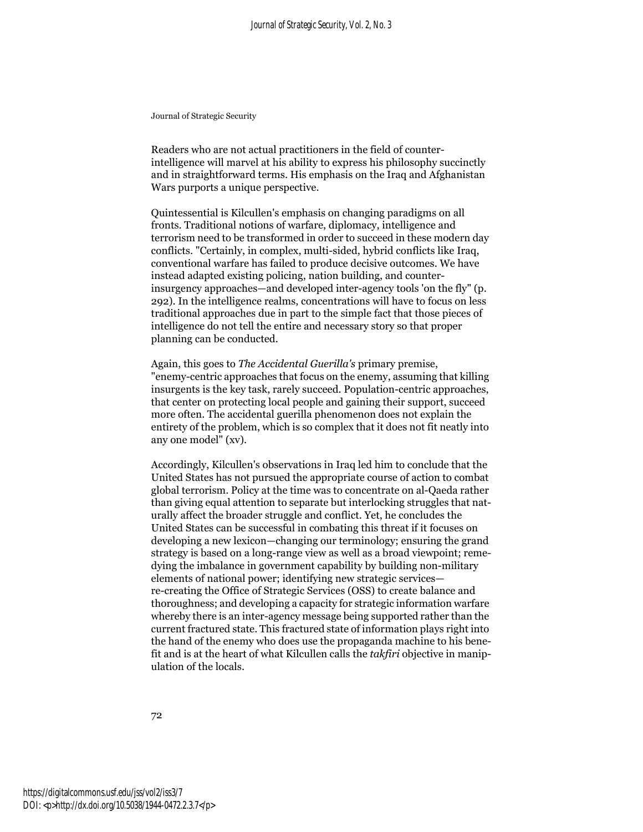Readers who are not actual practitioners in the field of counterintelligence will marvel at his ability to express his philosophy succinctly and in straightforward terms. His emphasis on the Iraq and Afghanistan Wars purports a unique perspective.

Quintessential is Kilcullen's emphasis on changing paradigms on all fronts. Traditional notions of warfare, diplomacy, intelligence and terrorism need to be transformed in order to succeed in these modern day conflicts. "Certainly, in complex, multi-sided, hybrid conflicts like Iraq, conventional warfare has failed to produce decisive outcomes. We have instead adapted existing policing, nation building, and counterinsurgency approaches—and developed inter-agency tools 'on the fly" (p. 292). In the intelligence realms, concentrations will have to focus on less traditional approaches due in part to the simple fact that those pieces of intelligence do not tell the entire and necessary story so that proper planning can be conducted.

Again, this goes to *The Accidental Guerilla's* primary premise, "enemy-centric approaches that focus on the enemy, assuming that killing insurgents is the key task, rarely succeed. Population-centric approaches, that center on protecting local people and gaining their support, succeed more often. The accidental guerilla phenomenon does not explain the entirety of the problem, which is so complex that it does not fit neatly into any one model" (xv).

Accordingly, Kilcullen's observations in Iraq led him to conclude that the United States has not pursued the appropriate course of action to combat global terrorism. Policy at the time was to concentrate on al-Qaeda rather than giving equal attention to separate but interlocking struggles that naturally affect the broader struggle and conflict. Yet, he concludes the United States can be successful in combating this threat if it focuses on developing a new lexicon—changing our terminology; ensuring the grand strategy is based on a long-range view as well as a broad viewpoint; remedying the imbalance in government capability by building non-military elements of national power; identifying new strategic services re-creating the Office of Strategic Services (OSS) to create balance and thoroughness; and developing a capacity for strategic information warfare whereby there is an inter-agency message being supported rather than the current fractured state. This fractured state of information plays right into the hand of the enemy who does use the propaganda machine to his benefit and is at the heart of what Kilcullen calls the *takfiri* objective in manipulation of the locals.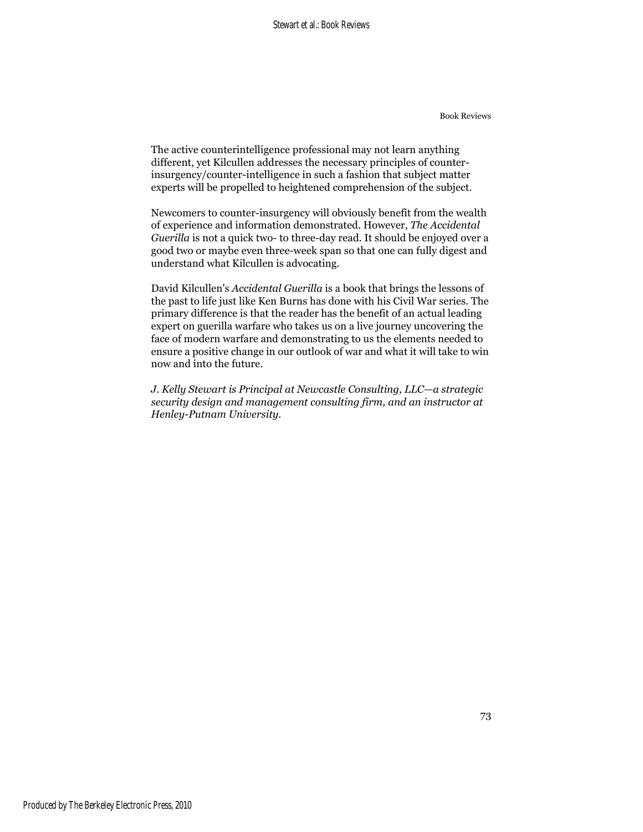The active counterintelligence professional may not learn anything different, yet Kilcullen addresses the necessary principles of counterinsurgency/counter-intelligence in such a fashion that subject matter experts will be propelled to heightened comprehension of the subject.

Newcomers to counter-insurgency will obviously benefit from the wealth of experience and information demonstrated. However, *The Accidental Guerilla* is not a quick two- to three-day read. It should be enjoyed over a good two or maybe even three-week span so that one can fully digest and understand what Kilcullen is advocating.

David Kilcullen's *Accidental Guerilla* is a book that brings the lessons of the past to life just like Ken Burns has done with his Civil War series. The primary difference is that the reader has the benefit of an actual leading expert on guerilla warfare who takes us on a live journey uncovering the face of modern warfare and demonstrating to us the elements needed to ensure a positive change in our outlook of war and what it will take to win now and into the future.

*J. Kelly Stewart is Principal at Newcastle Consulting, LLC—a strategic security design and management consulting firm, and an instructor at Henley-Putnam University.*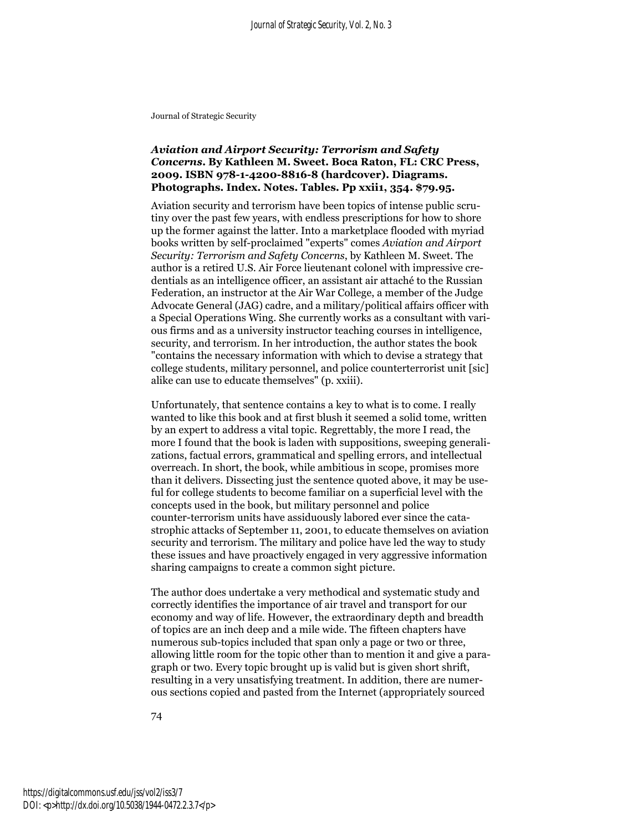#### *Aviation and Airport Security: Terrorism and Safety Concerns***. By Kathleen M. Sweet. Boca Raton, FL: CRC Press, 2009. ISBN 978-1-4200-8816-8 (hardcover). Diagrams. Photographs. Index. Notes. Tables. Pp xxii1, 354. \$79.95.**

Aviation security and terrorism have been topics of intense public scrutiny over the past few years, with endless prescriptions for how to shore up the former against the latter. Into a marketplace flooded with myriad books written by self-proclaimed "experts" comes *Aviation and Airport Security: Terrorism and Safety Concerns*, by Kathleen M. Sweet. The author is a retired U.S. Air Force lieutenant colonel with impressive credentials as an intelligence officer, an assistant air attaché to the Russian Federation, an instructor at the Air War College, a member of the Judge Advocate General (JAG) cadre, and a military/political affairs officer with a Special Operations Wing. She currently works as a consultant with various firms and as a university instructor teaching courses in intelligence, security, and terrorism. In her introduction, the author states the book "contains the necessary information with which to devise a strategy that college students, military personnel, and police counterterrorist unit [sic] alike can use to educate themselves" (p. xxiii).

Unfortunately, that sentence contains a key to what is to come. I really wanted to like this book and at first blush it seemed a solid tome, written by an expert to address a vital topic. Regrettably, the more I read, the more I found that the book is laden with suppositions, sweeping generalizations, factual errors, grammatical and spelling errors, and intellectual overreach. In short, the book, while ambitious in scope, promises more than it delivers. Dissecting just the sentence quoted above, it may be useful for college students to become familiar on a superficial level with the concepts used in the book, but military personnel and police counter-terrorism units have assiduously labored ever since the catastrophic attacks of September 11, 2001, to educate themselves on aviation security and terrorism. The military and police have led the way to study these issues and have proactively engaged in very aggressive information sharing campaigns to create a common sight picture.

The author does undertake a very methodical and systematic study and correctly identifies the importance of air travel and transport for our economy and way of life. However, the extraordinary depth and breadth of topics are an inch deep and a mile wide. The fifteen chapters have numerous sub-topics included that span only a page or two or three, allowing little room for the topic other than to mention it and give a paragraph or two. Every topic brought up is valid but is given short shrift, resulting in a very unsatisfying treatment. In addition, there are numerous sections copied and pasted from the Internet (appropriately sourced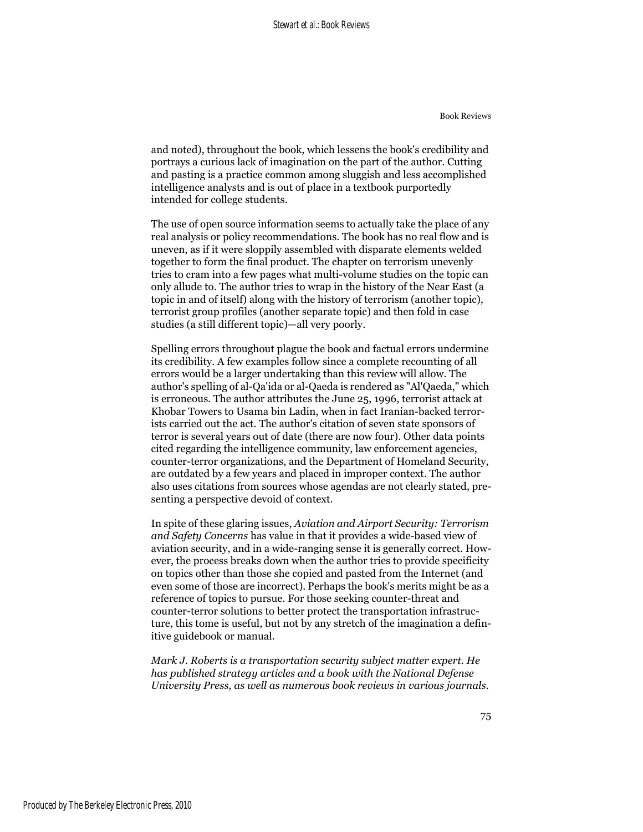and noted), throughout the book, which lessens the book's credibility and portrays a curious lack of imagination on the part of the author. Cutting and pasting is a practice common among sluggish and less accomplished intelligence analysts and is out of place in a textbook purportedly intended for college students.

The use of open source information seems to actually take the place of any real analysis or policy recommendations. The book has no real flow and is uneven, as if it were sloppily assembled with disparate elements welded together to form the final product. The chapter on terrorism unevenly tries to cram into a few pages what multi-volume studies on the topic can only allude to. The author tries to wrap in the history of the Near East (a topic in and of itself) along with the history of terrorism (another topic), terrorist group profiles (another separate topic) and then fold in case studies (a still different topic)—all very poorly.

Spelling errors throughout plague the book and factual errors undermine its credibility. A few examples follow since a complete recounting of all errors would be a larger undertaking than this review will allow. The author's spelling of al-Qa'ida or al-Qaeda is rendered as "Al'Qaeda," which is erroneous. The author attributes the June 25, 1996, terrorist attack at Khobar Towers to Usama bin Ladin, when in fact Iranian-backed terrorists carried out the act. The author's citation of seven state sponsors of terror is several years out of date (there are now four). Other data points cited regarding the intelligence community, law enforcement agencies, counter-terror organizations, and the Department of Homeland Security, are outdated by a few years and placed in improper context. The author also uses citations from sources whose agendas are not clearly stated, presenting a perspective devoid of context.

In spite of these glaring issues, *Aviation and Airport Security: Terrorism and Safety Concerns* has value in that it provides a wide-based view of aviation security, and in a wide-ranging sense it is generally correct. However, the process breaks down when the author tries to provide specificity on topics other than those she copied and pasted from the Internet (and even some of those are incorrect). Perhaps the book's merits might be as a reference of topics to pursue. For those seeking counter-threat and counter-terror solutions to better protect the transportation infrastructure, this tome is useful, but not by any stretch of the imagination a definitive guidebook or manual.

*Mark J. Roberts is a transportation security subject matter expert. He has published strategy articles and a book with the National Defense University Press, as well as numerous book reviews in various journals.*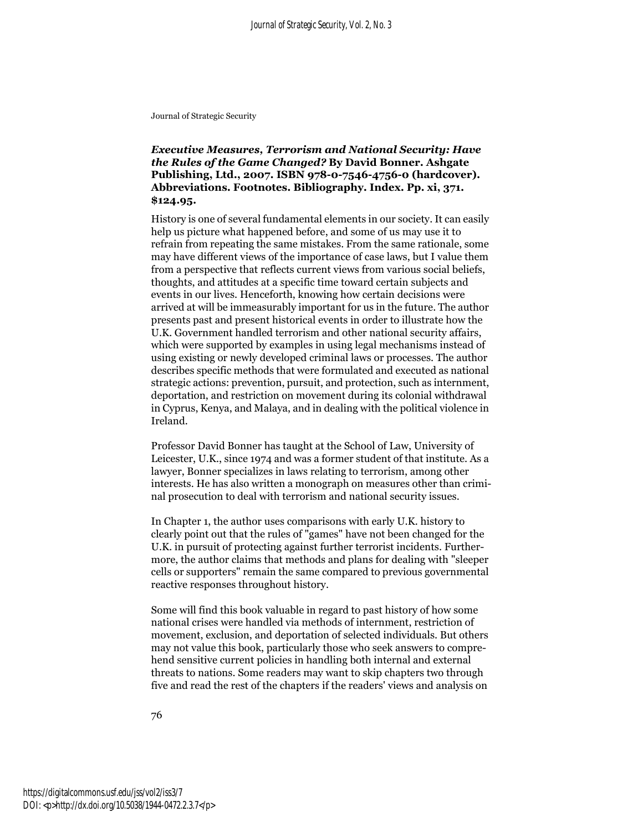*Executive Measures, Terrorism and National Security: Have the Rules of the Game Changed?* **By David Bonner. Ashgate Publishing, Ltd., 2007. ISBN 978-0-7546-4756-0 (hardcover). Abbreviations. Footnotes. Bibliography. Index. Pp. xi, 371. \$124.95.**

History is one of several fundamental elements in our society. It can easily help us picture what happened before, and some of us may use it to refrain from repeating the same mistakes. From the same rationale, some may have different views of the importance of case laws, but I value them from a perspective that reflects current views from various social beliefs, thoughts, and attitudes at a specific time toward certain subjects and events in our lives. Henceforth, knowing how certain decisions were arrived at will be immeasurably important for us in the future. The author presents past and present historical events in order to illustrate how the U.K. Government handled terrorism and other national security affairs, which were supported by examples in using legal mechanisms instead of using existing or newly developed criminal laws or processes. The author describes specific methods that were formulated and executed as national strategic actions: prevention, pursuit, and protection, such as internment, deportation, and restriction on movement during its colonial withdrawal in Cyprus, Kenya, and Malaya, and in dealing with the political violence in Ireland.

Professor David Bonner has taught at the School of Law, University of Leicester, U.K., since 1974 and was a former student of that institute. As a lawyer, Bonner specializes in laws relating to terrorism, among other interests. He has also written a monograph on measures other than criminal prosecution to deal with terrorism and national security issues.

In Chapter 1, the author uses comparisons with early U.K. history to clearly point out that the rules of "games" have not been changed for the U.K. in pursuit of protecting against further terrorist incidents. Furthermore, the author claims that methods and plans for dealing with "sleeper cells or supporters" remain the same compared to previous governmental reactive responses throughout history.

Some will find this book valuable in regard to past history of how some national crises were handled via methods of internment, restriction of movement, exclusion, and deportation of selected individuals. But others may not value this book, particularly those who seek answers to comprehend sensitive current policies in handling both internal and external threats to nations. Some readers may want to skip chapters two through five and read the rest of the chapters if the readers' views and analysis on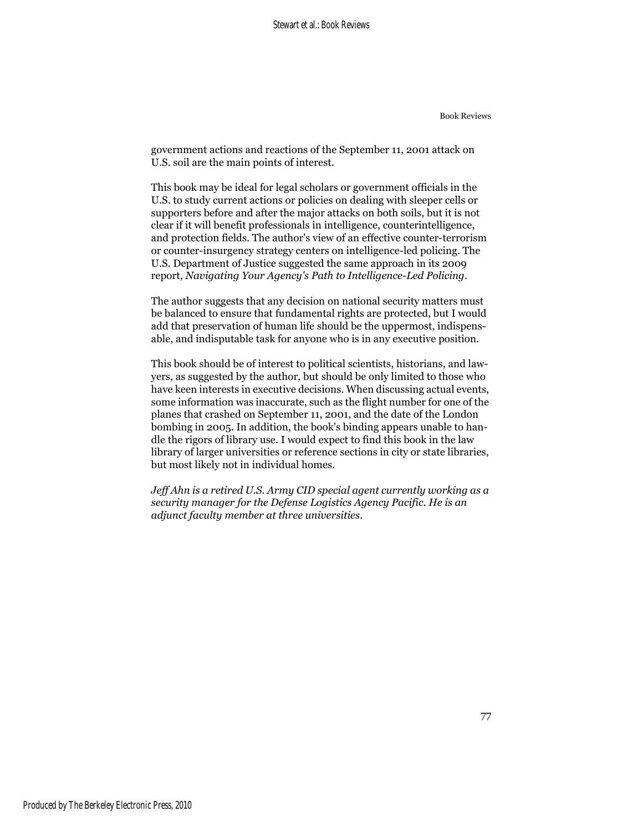government actions and reactions of the September 11, 2001 attack on U.S. soil are the main points of interest.

This book may be ideal for legal scholars or government officials in the U.S. to study current actions or policies on dealing with sleeper cells or supporters before and after the major attacks on both soils, but it is not clear if it will benefit professionals in intelligence, counterintelligence, and protection fields. The author's view of an effective counter-terrorism or counter-insurgency strategy centers on intelligence-led policing. The U.S. Department of Justice suggested the same approach in its 2009 report, *Navigating Your Agency's Path to Intelligence-Led Policing*.

The author suggests that any decision on national security matters must be balanced to ensure that fundamental rights are protected, but I would add that preservation of human life should be the uppermost, indispensable, and indisputable task for anyone who is in any executive position.

This book should be of interest to political scientists, historians, and lawyers, as suggested by the author, but should be only limited to those who have keen interests in executive decisions. When discussing actual events, some information was inaccurate, such as the flight number for one of the planes that crashed on September 11, 2001, and the date of the London bombing in 2005. In addition, the book's binding appears unable to handle the rigors of library use. I would expect to find this book in the law library of larger universities or reference sections in city or state libraries, but most likely not in individual homes.

*Jeff Ahn is a retired U.S. Army CID special agent currently working as a security manager for the Defense Logistics Agency Pacific. He is an adjunct faculty member at three universities.*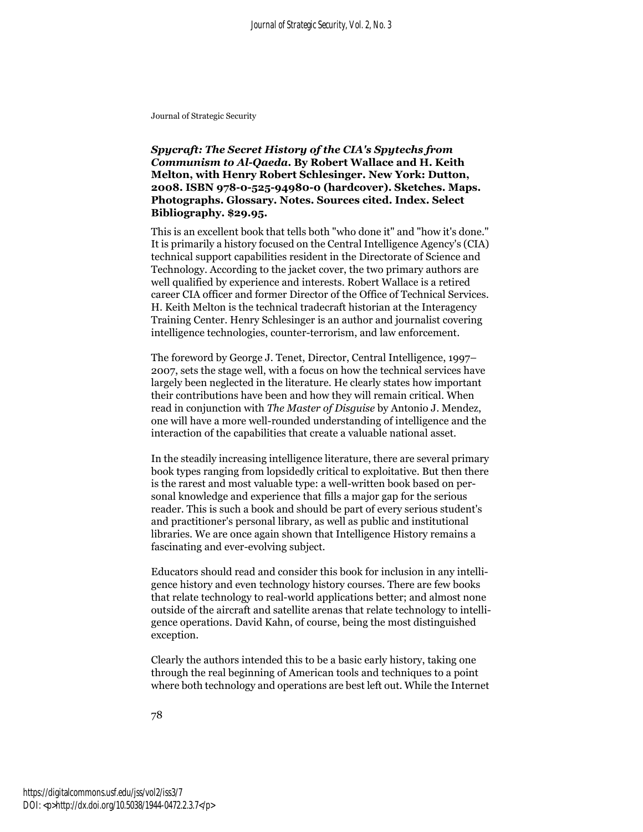*Spycraft: The Secret History of the CIA's Spytechs from Communism to Al-Qaeda***. By Robert Wallace and H. Keith Melton, with Henry Robert Schlesinger. New York: Dutton, 2008. ISBN 978-0-525-94980-0 (hardcover). Sketches. Maps. Photographs. Glossary. Notes. Sources cited. Index. Select Bibliography. \$29.95.**

This is an excellent book that tells both "who done it" and "how it's done." It is primarily a history focused on the Central Intelligence Agency's (CIA) technical support capabilities resident in the Directorate of Science and Technology. According to the jacket cover, the two primary authors are well qualified by experience and interests. Robert Wallace is a retired career CIA officer and former Director of the Office of Technical Services. H. Keith Melton is the technical tradecraft historian at the Interagency Training Center. Henry Schlesinger is an author and journalist covering intelligence technologies, counter-terrorism, and law enforcement.

The foreword by George J. Tenet, Director, Central Intelligence, 1997– 2007, sets the stage well, with a focus on how the technical services have largely been neglected in the literature. He clearly states how important their contributions have been and how they will remain critical. When read in conjunction with *The Master of Disguise* by Antonio J. Mendez, one will have a more well-rounded understanding of intelligence and the interaction of the capabilities that create a valuable national asset.

In the steadily increasing intelligence literature, there are several primary book types ranging from lopsidedly critical to exploitative. But then there is the rarest and most valuable type: a well-written book based on personal knowledge and experience that fills a major gap for the serious reader. This is such a book and should be part of every serious student's and practitioner's personal library, as well as public and institutional libraries. We are once again shown that Intelligence History remains a fascinating and ever-evolving subject.

Educators should read and consider this book for inclusion in any intelligence history and even technology history courses. There are few books that relate technology to real-world applications better; and almost none outside of the aircraft and satellite arenas that relate technology to intelligence operations. David Kahn, of course, being the most distinguished exception.

Clearly the authors intended this to be a basic early history, taking one through the real beginning of American tools and techniques to a point where both technology and operations are best left out. While the Internet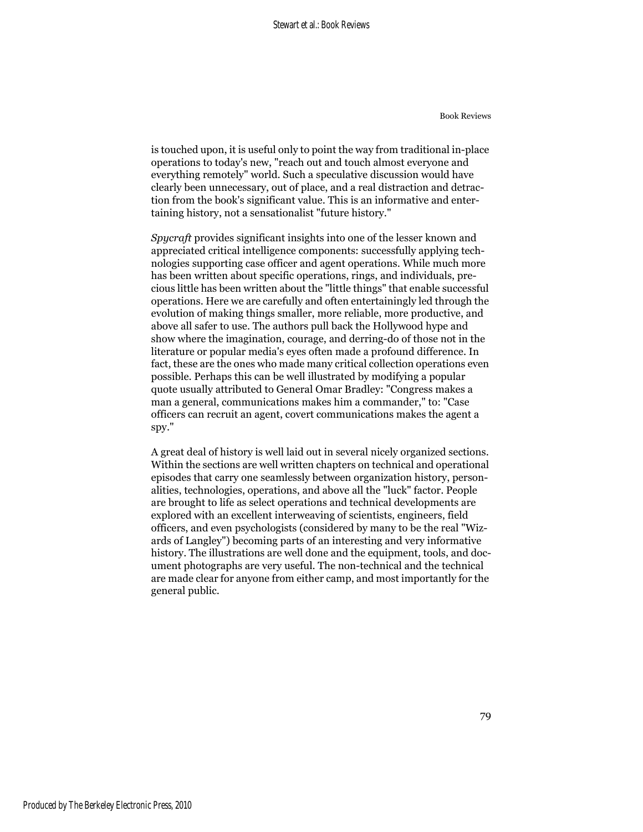is touched upon, it is useful only to point the way from traditional in-place operations to today's new, "reach out and touch almost everyone and everything remotely" world. Such a speculative discussion would have clearly been unnecessary, out of place, and a real distraction and detraction from the book's significant value. This is an informative and entertaining history, not a sensationalist "future history."

*Spycraft* provides significant insights into one of the lesser known and appreciated critical intelligence components: successfully applying technologies supporting case officer and agent operations. While much more has been written about specific operations, rings, and individuals, precious little has been written about the "little things" that enable successful operations. Here we are carefully and often entertainingly led through the evolution of making things smaller, more reliable, more productive, and above all safer to use. The authors pull back the Hollywood hype and show where the imagination, courage, and derring-do of those not in the literature or popular media's eyes often made a profound difference. In fact, these are the ones who made many critical collection operations even possible. Perhaps this can be well illustrated by modifying a popular quote usually attributed to General Omar Bradley: "Congress makes a man a general, communications makes him a commander," to: "Case officers can recruit an agent, covert communications makes the agent a spy."

A great deal of history is well laid out in several nicely organized sections. Within the sections are well written chapters on technical and operational episodes that carry one seamlessly between organization history, personalities, technologies, operations, and above all the "luck" factor. People are brought to life as select operations and technical developments are explored with an excellent interweaving of scientists, engineers, field officers, and even psychologists (considered by many to be the real "Wizards of Langley") becoming parts of an interesting and very informative history. The illustrations are well done and the equipment, tools, and document photographs are very useful. The non-technical and the technical are made clear for anyone from either camp, and most importantly for the general public.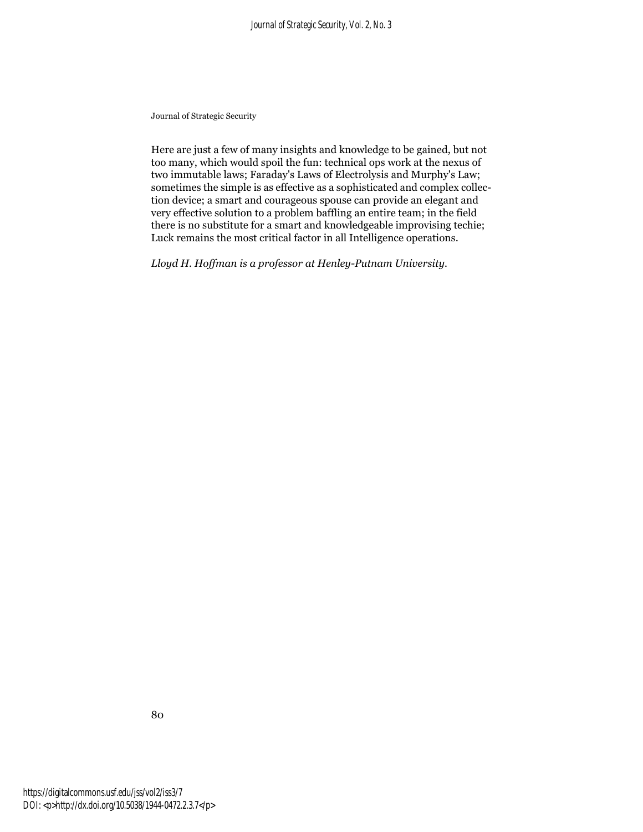Here are just a few of many insights and knowledge to be gained, but not too many, which would spoil the fun: technical ops work at the nexus of two immutable laws; Faraday's Laws of Electrolysis and Murphy's Law; sometimes the simple is as effective as a sophisticated and complex collection device; a smart and courageous spouse can provide an elegant and very effective solution to a problem baffling an entire team; in the field there is no substitute for a smart and knowledgeable improvising techie; Luck remains the most critical factor in all Intelligence operations.

*Lloyd H. Hoffman is a professor at Henley-Putnam University.*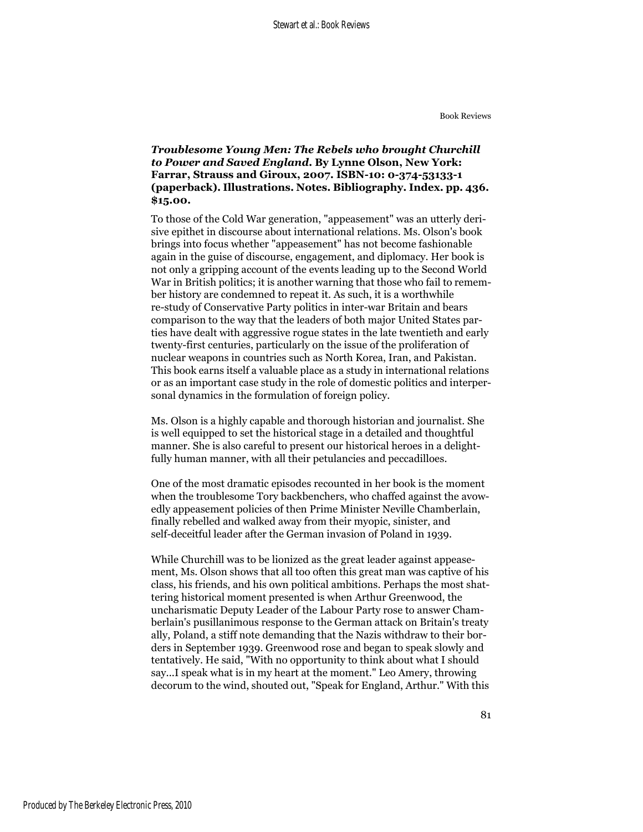### *Troublesome Young Men: The Rebels who brought Churchill to Power and Saved England***. By Lynne Olson, New York: Farrar, Strauss and Giroux, 2007. ISBN-10: 0-374-53133-1 (paperback). Illustrations. Notes. Bibliography. Index. pp. 436. \$15.00.**

To those of the Cold War generation, "appeasement" was an utterly derisive epithet in discourse about international relations. Ms. Olson's book brings into focus whether "appeasement" has not become fashionable again in the guise of discourse, engagement, and diplomacy. Her book is not only a gripping account of the events leading up to the Second World War in British politics; it is another warning that those who fail to remember history are condemned to repeat it. As such, it is a worthwhile re-study of Conservative Party politics in inter-war Britain and bears comparison to the way that the leaders of both major United States parties have dealt with aggressive rogue states in the late twentieth and early twenty-first centuries, particularly on the issue of the proliferation of nuclear weapons in countries such as North Korea, Iran, and Pakistan. This book earns itself a valuable place as a study in international relations or as an important case study in the role of domestic politics and interpersonal dynamics in the formulation of foreign policy.

Ms. Olson is a highly capable and thorough historian and journalist. She is well equipped to set the historical stage in a detailed and thoughtful manner. She is also careful to present our historical heroes in a delightfully human manner, with all their petulancies and peccadilloes.

One of the most dramatic episodes recounted in her book is the moment when the troublesome Tory backbenchers, who chaffed against the avowedly appeasement policies of then Prime Minister Neville Chamberlain, finally rebelled and walked away from their myopic, sinister, and self-deceitful leader after the German invasion of Poland in 1939.

While Churchill was to be lionized as the great leader against appeasement, Ms. Olson shows that all too often this great man was captive of his class, his friends, and his own political ambitions. Perhaps the most shattering historical moment presented is when Arthur Greenwood, the uncharismatic Deputy Leader of the Labour Party rose to answer Chamberlain's pusillanimous response to the German attack on Britain's treaty ally, Poland, a stiff note demanding that the Nazis withdraw to their borders in September 1939. Greenwood rose and began to speak slowly and tentatively. He said, "With no opportunity to think about what I should say...I speak what is in my heart at the moment." Leo Amery, throwing decorum to the wind, shouted out, "Speak for England, Arthur." With this